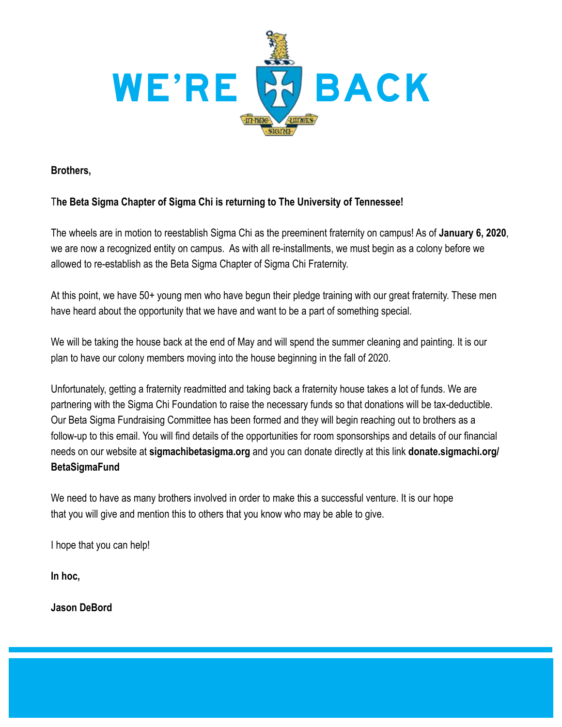

**Brothers,**

### T**he Beta Sigma Chapter of Sigma Chi is returning to The University of Tennessee!**

The wheels are in motion to reestablish Sigma Chi as the preeminent fraternity on campus! As of **January 6, 2020**, we are now a recognized entity on campus. As with all re-installments, we must begin as a colony before we allowed to re-establish as the Beta Sigma Chapter of Sigma Chi Fraternity.

At this point, we have 50+ young men who have begun their pledge training with our great fraternity. These men have heard about the opportunity that we have and want to be a part of something special.

We will be taking the house back at the end of May and will spend the summer cleaning and painting. It is our plan to have our colony members moving into the house beginning in the fall of 2020.

Unfortunately, getting a fraternity readmitted and taking back a fraternity house takes a lot of funds. We are partnering with the Sigma Chi Foundation to raise the necessary funds so that donations will be tax-deductible. Our Beta Sigma Fundraising Committee has been formed and they will begin reaching out to brothers as a follow-up to this email. You will find details of the opportunities for room sponsorships and details of our financial needs on our website at **sigmachibetasigma.org** and you can donate directly at this link **donate.sigmachi.org/ BetaSigmaFund**

We need to have as many brothers involved in order to make this a successful venture. It is our hope that you will give and mention this to others that you know who may be able to give.

I hope that you can help!

**In hoc,**

**Jason DeBord**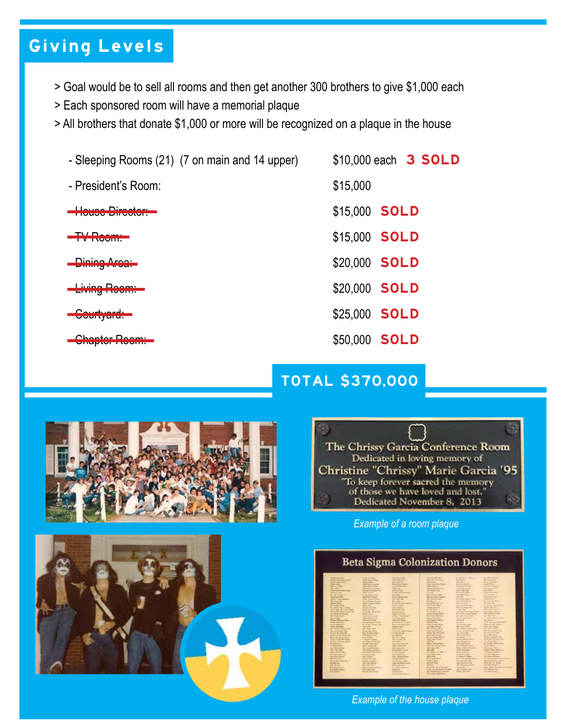### Giving Levels

- > Goal would be to sell all rooms and then get another 300 brothers to give \$1,000 each
- > Each sponsored room will have a memorial plaque
- > All brothers that donate \$1,000 or more will be recognized on a plaque in the house
	- Sleeping Rooms (21) (7 on main and 14 upper) \$10,000 each 3 SOLD
	- President's Room: \$15,000
	- **House Director: The Contract of Contract Contract of Contract Contract Contract Contract Contract Contract Contract Contract Contract Contract Contract Contract Contract Contract Contract Contract Contract Contract Cont**
	-
	-
	-
	-
	-
- 
- 
- 
- The Company of the Company of the Company of the State of the State of the State of the State of the State o
	- \$20,000 SOLD
	- \$20,000 SOLD
	- \$25,000 SOLD
	- \$50,000 SOLD

### TOTAL \$370,000







*Example of a room plaque*



*Example of the house plaque*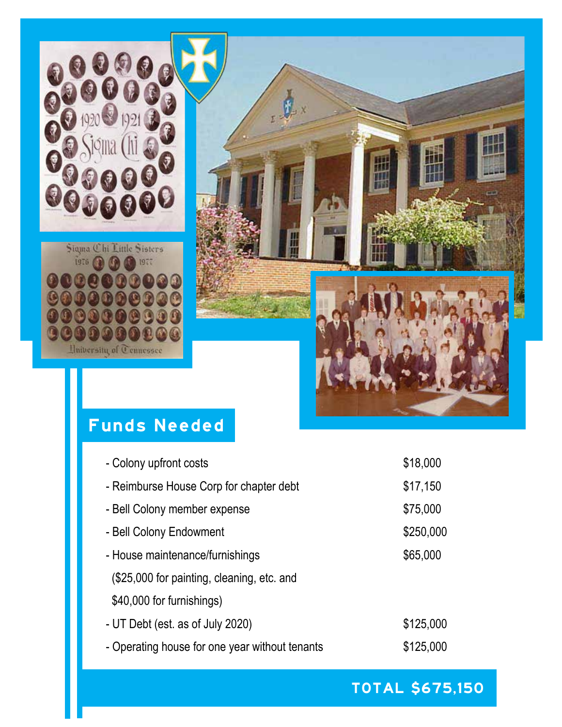

### Funds Needed

| - Colony upfront costs                         | \$18,000  |
|------------------------------------------------|-----------|
| - Reimburse House Corp for chapter debt        | \$17,150  |
| - Bell Colony member expense                   | \$75,000  |
| - Bell Colony Endowment                        | \$250,000 |
| - House maintenance/furnishings                | \$65,000  |
| (\$25,000 for painting, cleaning, etc. and     |           |
| \$40,000 for furnishings)                      |           |
| - UT Debt (est. as of July 2020)               | \$125,000 |
| - Operating house for one year without tenants | \$125,000 |
|                                                |           |

TOTAL \$675,150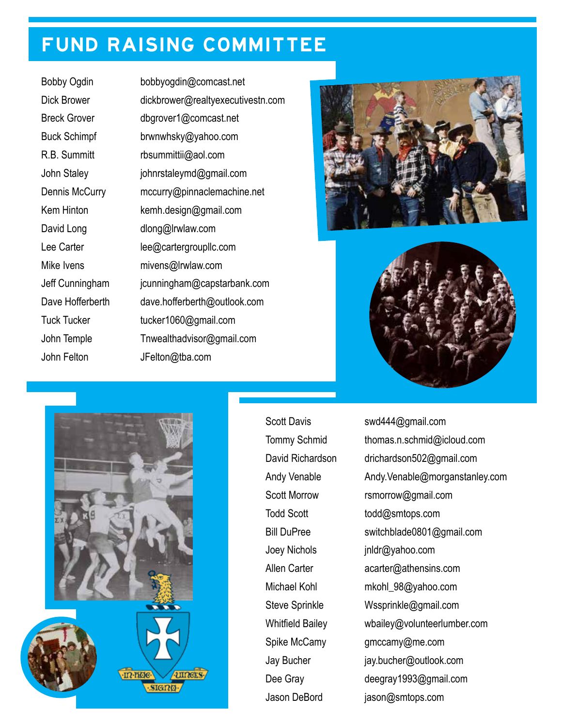## FUND RAISING COMMITTEE

Bobby Ogdin bobbyogdin@comcast.net Dick Brower dickbrower@realtyexecutivestn.com Breck Grover dbgrover1@comcast.net Buck Schimpf brwnwhsky@yahoo.com R.B. Summitt rbsummittii@aol.com John Staley johnrstaleymd@gmail.com Dennis McCurry mccurry@pinnaclemachine.net Kem Hinton kemh.design@gmail.com David Long dlong@lrwlaw.com Lee Carter lee@cartergroupllc.com Mike Ivens mivens@lrwlaw.com Jeff Cunningham jcunningham@capstarbank.com Dave Hofferberth dave.hofferberth@outlook.com Tuck Tucker tucker1060@gmail.com John Temple Tnwealthadvisor@gmail.com John Felton JFelton@tba.com







Joey Nichols jnldr@yahoo.com

Scott Davis swd444@gmail.com Tommy Schmid thomas.n.schmid@icloud.com David Richardson drichardson502@gmail.com Andy Venable Andy.Venable@morganstanley.com Scott Morrow rsmorrow@gmail.com Todd Scott todd@smtops.com Bill DuPree switchblade0801@gmail.com Allen Carter **acarter@athensins.com** Michael Kohl mkohl\_98@yahoo.com Steve Sprinkle Wssprinkle@gmail.com Whitfield Bailey wbailey@volunteerlumber.com Spike McCamy gmccamy@me.com Jay Bucher jay.bucher@outlook.com Dee Gray deegray1993@gmail.com Jason DeBord jason@smtops.com